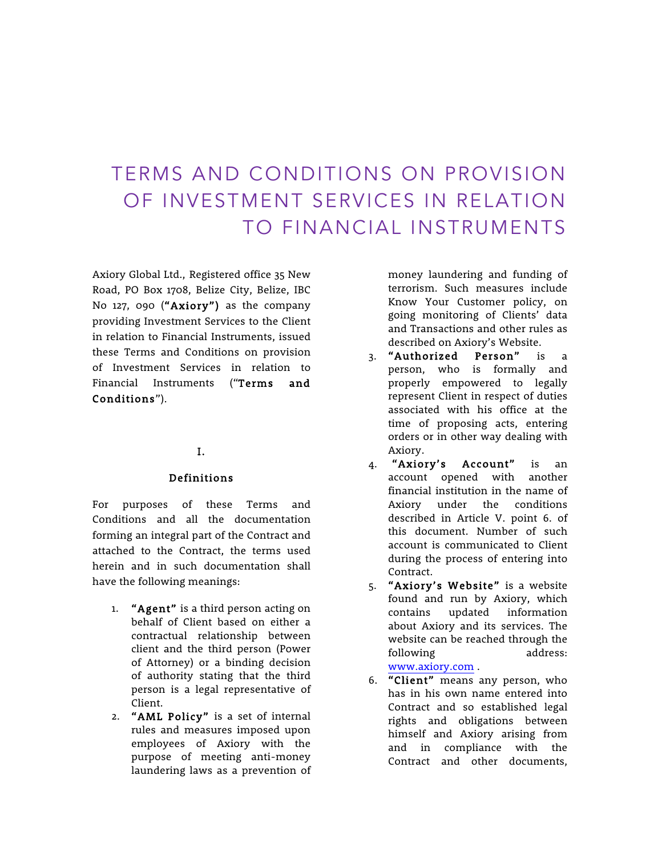# TERMS AND CONDITIONS ON PROVISION OF INVESTMENT SERVICES IN RELATION TO FINANCIAL INSTRUMENTS

Axiory Global Ltd., Registered office 35 New Road, PO Box 1708, Belize City, Belize, IBC No 127, 090 ("Axiory") as the company providing Investment Services to the Client in relation to Financial Instruments, issued these Terms and Conditions on provision of Investment Services in relation to Financial Instruments ("Terms and Conditions").

## I.

#### Definitions

For purposes of these Terms and Conditions and all the documentation forming an integral part of the Contract and attached to the Contract, the terms used herein and in such documentation shall have the following meanings:

- 1. "Agent" is a third person acting on behalf of Client based on either a contractual relationship between client and the third person (Power of Attorney) or a binding decision of authority stating that the third person is a legal representative of Client.
- 2. "AML Policy" is a set of internal rules and measures imposed upon employees of Axiory with the purpose of meeting anti-money laundering laws as a prevention of

money laundering and funding of terrorism. Such measures include Know Your Customer policy, on going monitoring of Clients' data and Transactions and other rules as described on Axiory's Website.

- 3. "Authorized Person" is a person, who is formally and properly empowered to legally represent Client in respect of duties associated with his office at the time of proposing acts, entering orders or in other way dealing with Axiory.
- 4. "Axiory's Account" is an account opened with another financial institution in the name of Axiory under the conditions described in Article V. point 6. of this document. Number of such account is communicated to Client during the process of entering into Contract.
- 5. "Axiory's Website" is a website found and run by Axiory, which contains updated information about Axiory and its services. The website can be reached through the following address: www.axiory.com .
- 6. "Client" means any person, who has in his own name entered into Contract and so established legal rights and obligations between himself and Axiory arising from and in compliance with the Contract and other documents,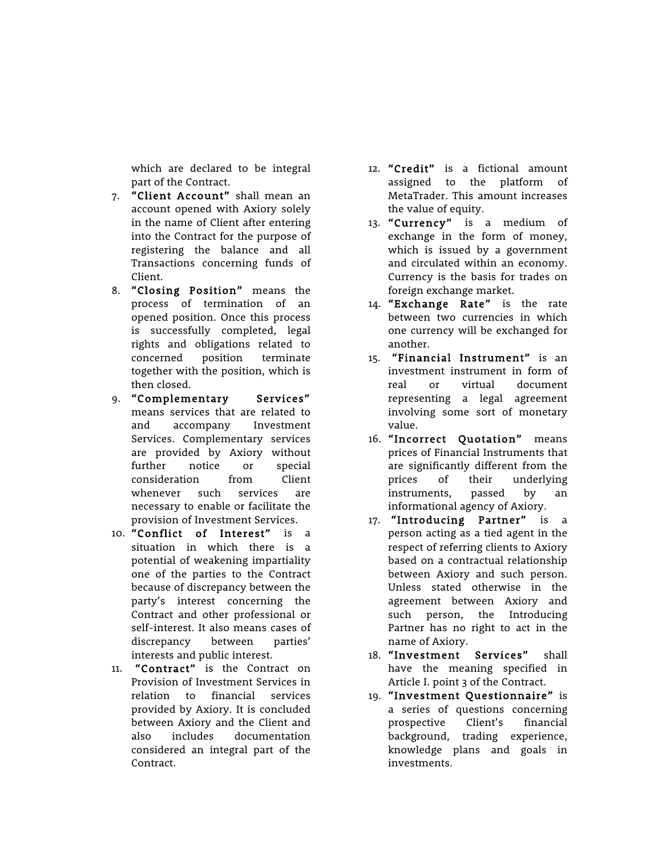which are declared to be integral part of the Contract.

- 7. "Client Account" shall mean an account opened with Axiory solely in the name of Client after entering into the Contract for the purpose of registering the balance and all Transactions concerning funds of Client.
- 8. "Closing Position" means the process of termination of an opened position. Once this process is successfully completed, legal rights and obligations related to concerned position terminate together with the position, which is then closed.
- 9. "Complementary Services" means services that are related to and accompany Investment Services. Complementary services are provided by Axiory without further notice or special consideration from Client whenever such services are necessary to enable or facilitate the provision of Investment Services.
- 10. "Conflict of Interest" is a situation in which there is a potential of weakening impartiality one of the parties to the Contract because of discrepancy between the party's interest concerning the Contract and other professional or self-interest. It also means cases of discrepancy between parties' interests and public interest.
- 11. "Contract" is the Contract on Provision of Investment Services in relation to financial services provided by Axiory. It is concluded between Axiory and the Client and also includes documentation considered an integral part of the Contract.
- 12. "Credit" is a fictional amount assigned to the platform of MetaTrader. This amount increases the value of equity.
- 13. "Currency" is a medium of exchange in the form of money, which is issued by a government and circulated within an economy. Currency is the basis for trades on foreign exchange market.
- 14. "Exchange Rate" is the rate between two currencies in which one currency will be exchanged for another.
- 15. "Financial Instrument" is an investment instrument in form of real or virtual document representing a legal agreement involving some sort of monetary value.
- 16. "Incorrect Quotation" means prices of Financial Instruments that are significantly different from the prices of their underlying instruments, passed by an informational agency of Axiory.
- 17. "Introducing Partner" is a person acting as a tied agent in the respect of referring clients to Axiory based on a contractual relationship between Axiory and such person. Unless stated otherwise in the agreement between Axiory and such person, the Introducing Partner has no right to act in the name of Axiory.
- 18. "Investment Services" shall have the meaning specified in Article I. point 3 of the Contract.
- 19. "Investment Questionnaire" is a series of questions concerning prospective Client's financial background, trading experience, knowledge plans and goals in investments.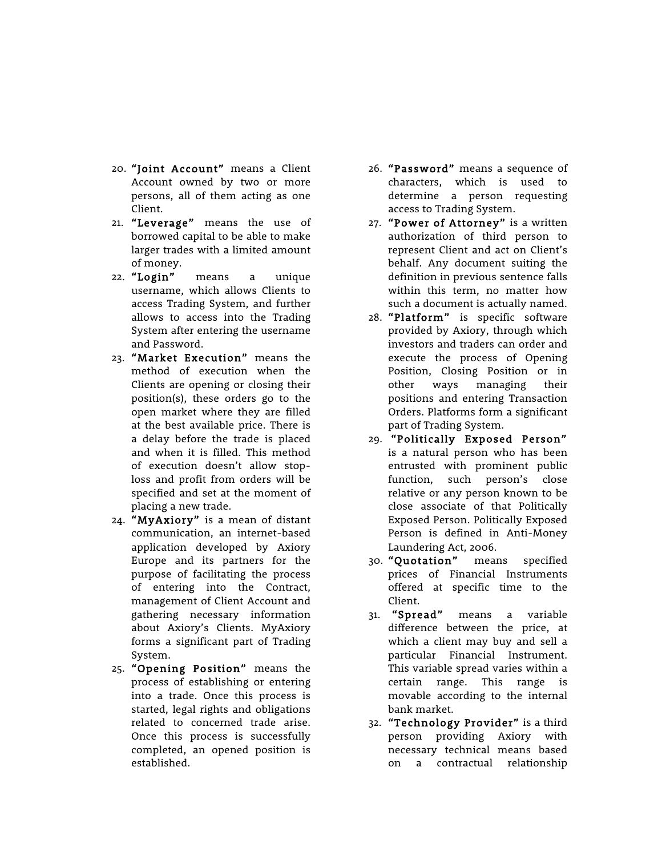- 20. "Joint Account" means a Client Account owned by two or more persons, all of them acting as one Client.
- 21. "Leverage" means the use of borrowed capital to be able to make larger trades with a limited amount of money.
- 22. "Login" means a unique username, which allows Clients to access Trading System, and further allows to access into the Trading System after entering the username and Password.
- 23. "Market Execution" means the method of execution when the Clients are opening or closing their position(s), these orders go to the open market where they are filled at the best available price. There is a delay before the trade is placed and when it is filled. This method of execution doesn't allow stoploss and profit from orders will be specified and set at the moment of placing a new trade.
- 24. "MyAxiory" is a mean of distant communication, an internet-based application developed by Axiory Europe and its partners for the purpose of facilitating the process of entering into the Contract, management of Client Account and gathering necessary information about Axiory's Clients. MyAxiory forms a significant part of Trading System.
- 25. "Opening Position" means the process of establishing or entering into a trade. Once this process is started, legal rights and obligations related to concerned trade arise. Once this process is successfully completed, an opened position is established.
- 26. "Password" means a sequence of characters, which is used to determine a person requesting access to Trading System.
- 27. "Power of Attorney" is a written authorization of third person to represent Client and act on Client's behalf. Any document suiting the definition in previous sentence falls within this term, no matter how such a document is actually named.
- 28. "Platform" is specific software provided by Axiory, through which investors and traders can order and execute the process of Opening Position, Closing Position or in other ways managing their positions and entering Transaction Orders. Platforms form a significant part of Trading System.
- 29. "Politically Exposed Person" is a natural person who has been entrusted with prominent public function, such person's close relative or any person known to be close associate of that Politically Exposed Person. Politically Exposed Person is defined in Anti-Money Laundering Act, 2006.
- 30. "Quotation" means specified prices of Financial Instruments offered at specific time to the Client.
- 31. "Spread" means a variable difference between the price, at which a client may buy and sell a particular Financial Instrument. This variable spread varies within a certain range. This range is movable according to the internal bank market.
- 32. "Technology Provider" is a third person providing Axiory with necessary technical means based on a contractual relationship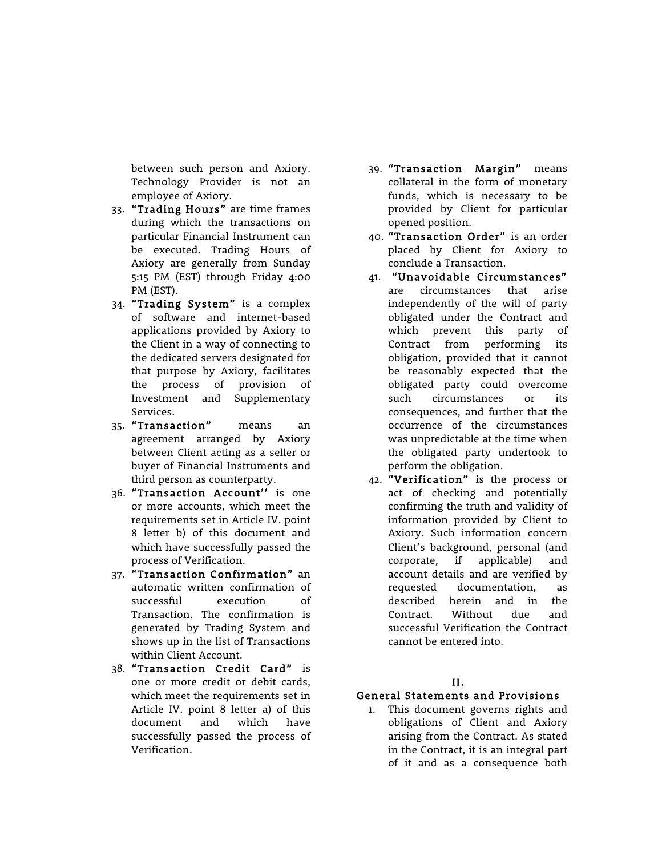between such person and Axiory. Technology Provider is not an employee of Axiory.

- 33. "Trading Hours" are time frames during which the transactions on particular Financial Instrument can be executed. Trading Hours of Axiory are generally from Sunday 5:15 PM (EST) through Friday 4:00 PM (EST).
- 34. "Trading System" is a complex of software and internet-based applications provided by Axiory to the Client in a way of connecting to the dedicated servers designated for that purpose by Axiory, facilitates the process of provision of Investment and Supplementary Services.
- 35. "Transaction" means an agreement arranged by Axiory between Client acting as a seller or buyer of Financial Instruments and third person as counterparty.
- 36. "Transaction Account'' is one or more accounts, which meet the requirements set in Article IV. point 8 letter b) of this document and which have successfully passed the process of Verification.
- 37. "Transaction Confirmation" an automatic written confirmation of successful execution of Transaction. The confirmation is generated by Trading System and shows up in the list of Transactions within Client Account.
- 38. "Transaction Credit Card" is one or more credit or debit cards, which meet the requirements set in Article IV. point 8 letter a) of this document and which have successfully passed the process of Verification.
- 39. "Transaction Margin" means collateral in the form of monetary funds, which is necessary to be provided by Client for particular opened position.
- 40. "Transaction Order" is an order placed by Client for Axiory to conclude a Transaction.
- 41. "Unavoidable Circumstances" are circumstances that arise independently of the will of party obligated under the Contract and which prevent this party of Contract from performing its obligation, provided that it cannot be reasonably expected that the obligated party could overcome such circumstances or its consequences, and further that the occurrence of the circumstances was unpredictable at the time when the obligated party undertook to perform the obligation.
- 42. "Verification" is the process or act of checking and potentially confirming the truth and validity of information provided by Client to Axiory. Such information concern Client's background, personal (and corporate, if applicable) and account details and are verified by requested documentation, as described herein and in the Contract. Without due and successful Verification the Contract cannot be entered into.

## II.

## General Statements and Provisions

1. This document governs rights and obligations of Client and Axiory arising from the Contract. As stated in the Contract, it is an integral part of it and as a consequence both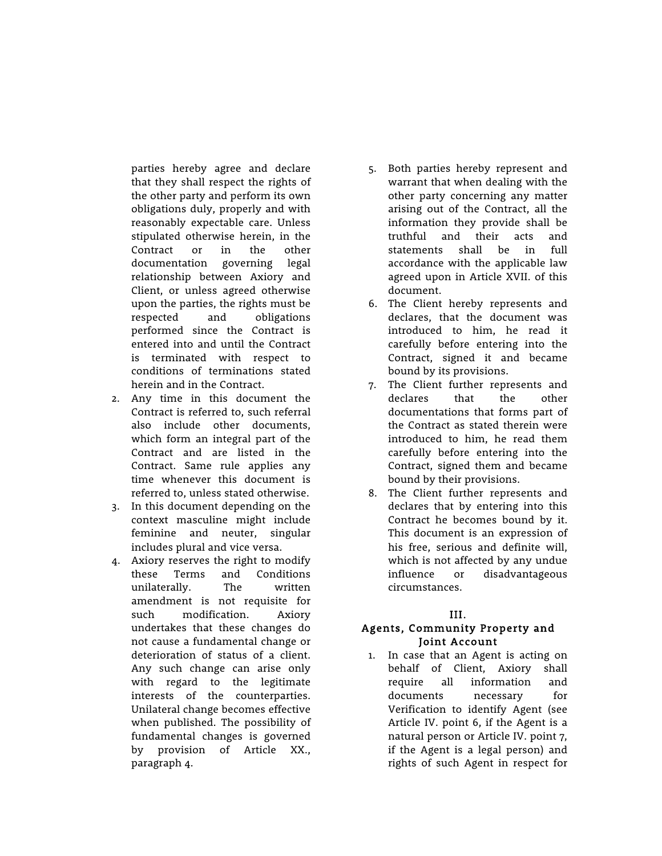parties hereby agree and declare that they shall respect the rights of the other party and perform its own obligations duly, properly and with reasonably expectable care. Unless stipulated otherwise herein, in the Contract or in the other documentation governing legal relationship between Axiory and Client, or unless agreed otherwise upon the parties, the rights must be respected and obligations performed since the Contract is entered into and until the Contract is terminated with respect to conditions of terminations stated herein and in the Contract.

- 2. Any time in this document the Contract is referred to, such referral also include other documents, which form an integral part of the Contract and are listed in the Contract. Same rule applies any time whenever this document is referred to, unless stated otherwise.
- 3. In this document depending on the context masculine might include feminine and neuter, singular includes plural and vice versa.
- 4. Axiory reserves the right to modify these Terms and Conditions unilaterally. The written amendment is not requisite for such modification. Axiory undertakes that these changes do not cause a fundamental change or deterioration of status of a client. Any such change can arise only with regard to the legitimate interests of the counterparties. Unilateral change becomes effective when published. The possibility of fundamental changes is governed by provision of Article XX., paragraph 4.
- 5. Both parties hereby represent and warrant that when dealing with the other party concerning any matter arising out of the Contract, all the information they provide shall be truthful and their acts and statements shall be in full accordance with the applicable law agreed upon in Article XVII. of this document.
- 6. The Client hereby represents and declares, that the document was introduced to him, he read it carefully before entering into the Contract, signed it and became bound by its provisions.
- 7. The Client further represents and declares that the other documentations that forms part of the Contract as stated therein were introduced to him, he read them carefully before entering into the Contract, signed them and became bound by their provisions.
- 8. The Client further represents and declares that by entering into this Contract he becomes bound by it. This document is an expression of his free, serious and definite will, which is not affected by any undue influence or disadvantageous circumstances.

## III.

## Agents, Community Property and Joint Account

1. In case that an Agent is acting on behalf of Client, Axiory shall require all information and documents necessary for Verification to identify Agent (see Article IV. point 6, if the Agent is a natural person or Article IV. point 7, if the Agent is a legal person) and rights of such Agent in respect for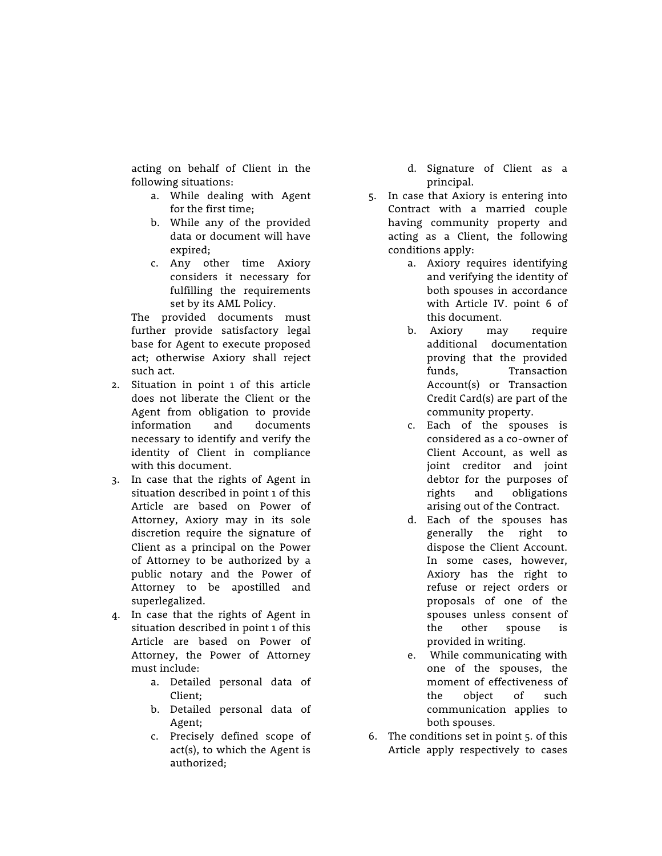acting on behalf of Client in the following situations:

- a. While dealing with Agent for the first time;
- b. While any of the provided data or document will have expired;
- c. Any other time Axiory considers it necessary for fulfilling the requirements set by its AML Policy.

The provided documents must further provide satisfactory legal base for Agent to execute proposed act; otherwise Axiory shall reject such act.

- 2. Situation in point 1 of this article does not liberate the Client or the Agent from obligation to provide information and documents necessary to identify and verify the identity of Client in compliance with this document.
- 3. In case that the rights of Agent in situation described in point 1 of this Article are based on Power of Attorney, Axiory may in its sole discretion require the signature of Client as a principal on the Power of Attorney to be authorized by a public notary and the Power of Attorney to be apostilled and superlegalized.
- 4. In case that the rights of Agent in situation described in point 1 of this Article are based on Power of Attorney, the Power of Attorney must include:
	- a. Detailed personal data of Client;
	- b. Detailed personal data of Agent;
	- c. Precisely defined scope of act(s), to which the Agent is authorized;
- d. Signature of Client as a principal.
- 5. In case that Axiory is entering into Contract with a married couple having community property and acting as a Client, the following conditions apply:
	- a. Axiory requires identifying and verifying the identity of both spouses in accordance with Article IV. point 6 of this document.
	- b. Axiory may require additional documentation proving that the provided funds, Transaction Account(s) or Transaction Credit Card(s) are part of the community property.
	- c. Each of the spouses is considered as a co-owner of Client Account, as well as joint creditor and joint debtor for the purposes of rights and obligations arising out of the Contract.
	- d. Each of the spouses has generally the right to dispose the Client Account. In some cases, however, Axiory has the right to refuse or reject orders or proposals of one of the spouses unless consent of the other spouse is provided in writing.
	- e. While communicating with one of the spouses, the moment of effectiveness of the object of such communication applies to both spouses.
- 6. The conditions set in point 5. of this Article apply respectively to cases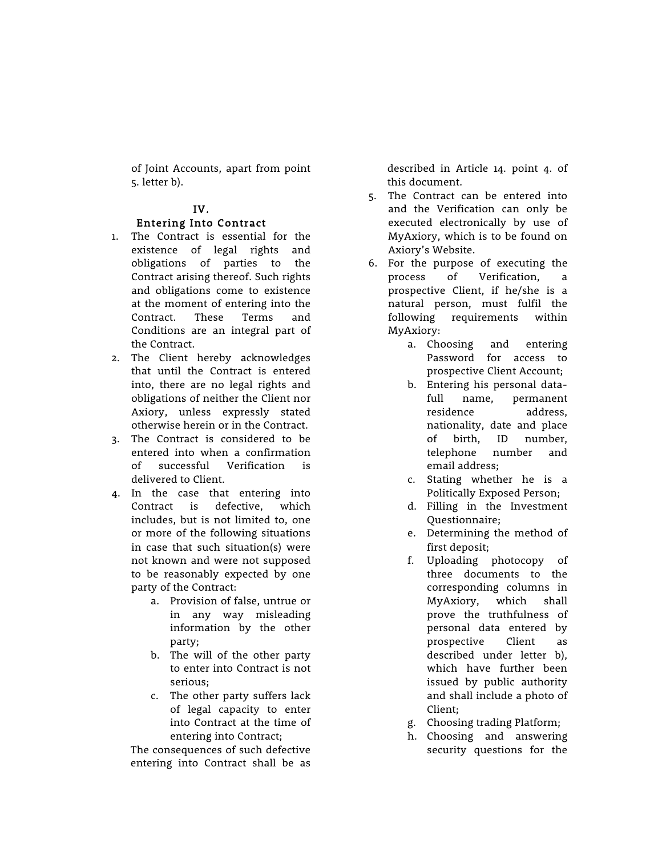of Joint Accounts, apart from point 5. letter b).

## IV.

## Entering Into Contract

- 1. The Contract is essential for the existence of legal rights and obligations of parties to the Contract arising thereof. Such rights and obligations come to existence at the moment of entering into the Contract. These Terms and Conditions are an integral part of the Contract.
- 2. The Client hereby acknowledges that until the Contract is entered into, there are no legal rights and obligations of neither the Client nor Axiory, unless expressly stated otherwise herein or in the Contract.
- 3. The Contract is considered to be entered into when a confirmation of successful Verification is delivered to Client.
- 4. In the case that entering into Contract is defective, which includes, but is not limited to, one or more of the following situations in case that such situation(s) were not known and were not supposed to be reasonably expected by one party of the Contract:
	- a. Provision of false, untrue or in any way misleading information by the other party;
	- b. The will of the other party to enter into Contract is not serious;
	- c. The other party suffers lack of legal capacity to enter into Contract at the time of entering into Contract;

The consequences of such defective entering into Contract shall be as

described in Article 14. point 4. of this document.

- 5. The Contract can be entered into and the Verification can only be executed electronically by use of MyAxiory, which is to be found on Axiory's Website.
- 6. For the purpose of executing the process of Verification, a prospective Client, if he/she is a natural person, must fulfil the following requirements within MyAxiory:
	- a. Choosing and entering Password for access to prospective Client Account;
	- b. Entering his personal datafull name, permanent residence address, nationality, date and place of birth, ID number, telephone number and email address;
	- c. Stating whether he is a Politically Exposed Person;
	- d. Filling in the Investment Questionnaire;
	- e. Determining the method of first deposit;
	- f. Uploading photocopy of three documents to the corresponding columns in MyAxiory, which shall prove the truthfulness of personal data entered by prospective Client as described under letter b), which have further been issued by public authority and shall include a photo of Client;
	- g. Choosing trading Platform;
	- h. Choosing and answering security questions for the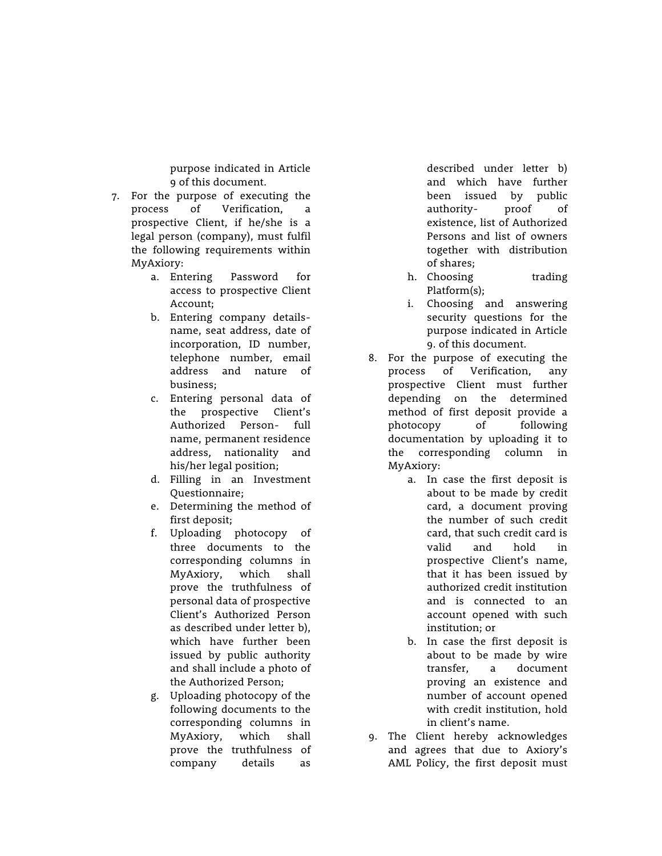purpose indicated in Article 9 of this document.

- 7. For the purpose of executing the process of Verification, a prospective Client, if he/she is a legal person (company), must fulfil the following requirements within MyAxiory:
	- a. Entering Password for access to prospective Client Account;
	- b. Entering company detailsname, seat address, date of incorporation, ID number, telephone number, email address and nature of business;
	- c. Entering personal data of the prospective Client's Authorized Person- full name, permanent residence address, nationality and his/her legal position;
	- d. Filling in an Investment Questionnaire;
	- e. Determining the method of first deposit;
	- f. Uploading photocopy of three documents to the corresponding columns in MyAxiory, which shall prove the truthfulness of personal data of prospective Client's Authorized Person as described under letter b), which have further been issued by public authority and shall include a photo of the Authorized Person;
	- g. Uploading photocopy of the following documents to the corresponding columns in MyAxiory, which shall prove the truthfulness of company details as

described under letter b) and which have further been issued by public authority- proof of existence, list of Authorized Persons and list of owners together with distribution of shares;

- h. Choosing trading Platform(s);
- i. Choosing and answering security questions for the purpose indicated in Article 9. of this document.
- 8. For the purpose of executing the process of Verification, any prospective Client must further depending on the determined method of first deposit provide a photocopy of following documentation by uploading it to the corresponding column in MyAxiory:
	- a. In case the first deposit is about to be made by credit card, a document proving the number of such credit card, that such credit card is valid and hold in prospective Client's name, that it has been issued by authorized credit institution and is connected to an account opened with such institution; or
	- b. In case the first deposit is about to be made by wire transfer, a document proving an existence and number of account opened with credit institution, hold in client's name.
- 9. The Client hereby acknowledges and agrees that due to Axiory's AML Policy, the first deposit must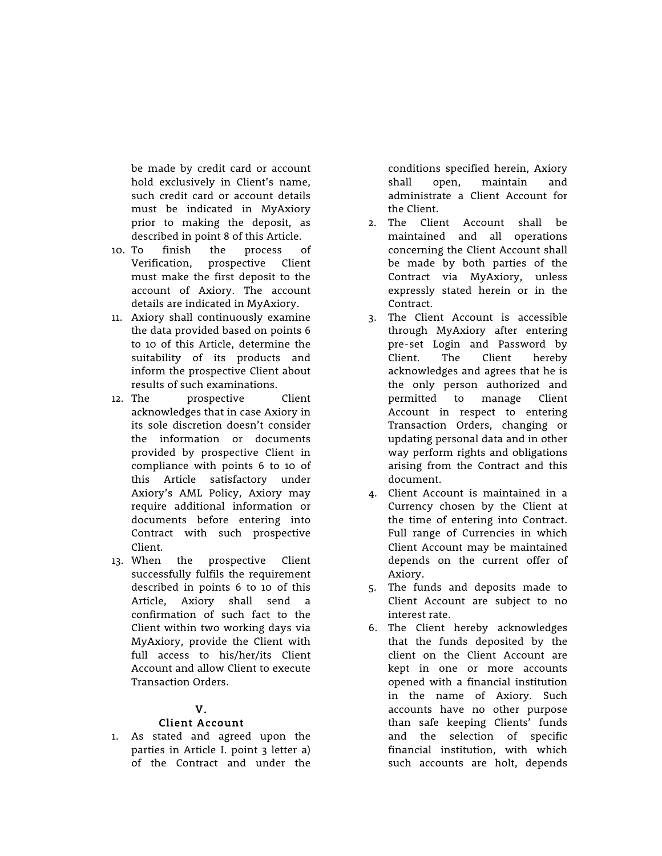be made by credit card or account hold exclusively in Client's name, such credit card or account details must be indicated in MyAxiory prior to making the deposit, as described in point 8 of this Article.

- 10. To finish the process of Verification, prospective Client must make the first deposit to the account of Axiory. The account details are indicated in MyAxiory.
- 11. Axiory shall continuously examine the data provided based on points 6 to 10 of this Article, determine the suitability of its products and inform the prospective Client about results of such examinations.
- 12. The prospective Client acknowledges that in case Axiory in its sole discretion doesn't consider the information or documents provided by prospective Client in compliance with points 6 to 10 of this Article satisfactory under Axiory's AML Policy, Axiory may require additional information or documents before entering into Contract with such prospective Client.
- 13. When the prospective Client successfully fulfils the requirement described in points 6 to 10 of this Article, Axiory shall send a confirmation of such fact to the Client within two working days via MyAxiory, provide the Client with full access to his/her/its Client Account and allow Client to execute Transaction Orders.

## V.

## Client Account

1. As stated and agreed upon the parties in Article I. point 3 letter a) of the Contract and under the conditions specified herein, Axiory shall open, maintain and administrate a Client Account for the Client.

- 2. The Client Account shall be maintained and all operations concerning the Client Account shall be made by both parties of the Contract via MyAxiory, unless expressly stated herein or in the Contract.
- 3. The Client Account is accessible through MyAxiory after entering pre-set Login and Password by Client. The Client hereby acknowledges and agrees that he is the only person authorized and permitted to manage Client Account in respect to entering Transaction Orders, changing or updating personal data and in other way perform rights and obligations arising from the Contract and this document.
- 4. Client Account is maintained in a Currency chosen by the Client at the time of entering into Contract. Full range of Currencies in which Client Account may be maintained depends on the current offer of Axiory.
- 5. The funds and deposits made to Client Account are subject to no interest rate.
- 6. The Client hereby acknowledges that the funds deposited by the client on the Client Account are kept in one or more accounts opened with a financial institution in the name of Axiory. Such accounts have no other purpose than safe keeping Clients' funds and the selection of specific financial institution, with which such accounts are holt, depends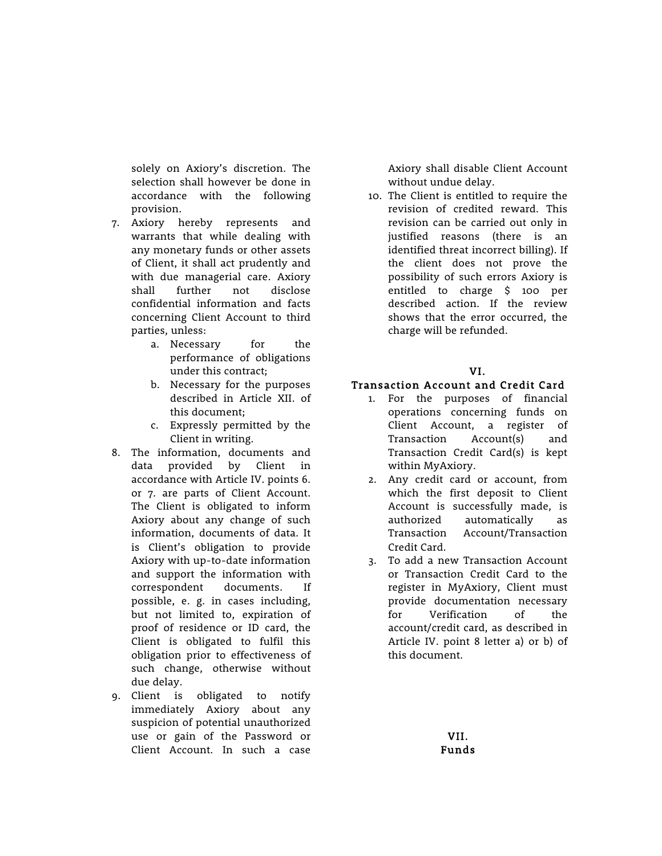solely on Axiory's discretion. The selection shall however be done in accordance with the following provision.

- 7. Axiory hereby represents and warrants that while dealing with any monetary funds or other assets of Client, it shall act prudently and with due managerial care. Axiory shall further not disclose confidential information and facts concerning Client Account to third parties, unless:
	- a. Necessary for the performance of obligations under this contract;
	- b. Necessary for the purposes described in Article XII. of this document;
	- c. Expressly permitted by the Client in writing.
- 8. The information, documents and data provided by Client in accordance with Article IV. points 6. or 7. are parts of Client Account. The Client is obligated to inform Axiory about any change of such information, documents of data. It is Client's obligation to provide Axiory with up-to-date information and support the information with correspondent documents. If possible, e. g. in cases including, but not limited to, expiration of proof of residence or ID card, the Client is obligated to fulfil this obligation prior to effectiveness of such change, otherwise without due delay.
- 9. Client is obligated to notify immediately Axiory about any suspicion of potential unauthorized use or gain of the Password or Client Account. In such a case

Axiory shall disable Client Account without undue delay.

10. The Client is entitled to require the revision of credited reward. This revision can be carried out only in justified reasons (there is an identified threat incorrect billing). If the client does not prove the possibility of such errors Axiory is entitled to charge \$ 100 per described action. If the review shows that the error occurred, the charge will be refunded.

## VI.

## Transaction Account and Credit Card

- 1. For the purposes of financial operations concerning funds on Client Account, a register of Transaction Account(s) and Transaction Credit Card(s) is kept within MyAxiory.
- 2. Any credit card or account, from which the first deposit to Client Account is successfully made, is authorized automatically as Transaction Account/Transaction Credit Card.
- 3. To add a new Transaction Account or Transaction Credit Card to the register in MyAxiory, Client must provide documentation necessary for Verification of the account/credit card, as described in Article IV. point 8 letter a) or b) of this document.

VII. Funds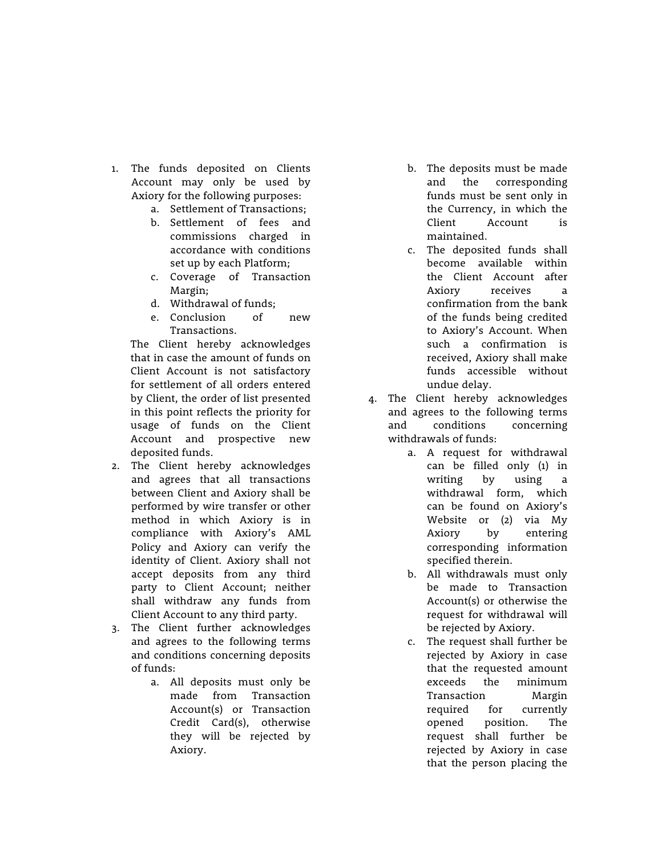- 1. The funds deposited on Clients Account may only be used by Axiory for the following purposes:
	- a. Settlement of Transactions;
	- b. Settlement of fees and commissions charged in accordance with conditions set up by each Platform;
	- c. Coverage of Transaction Margin;
	- d. Withdrawal of funds;
	- e. Conclusion of new Transactions.

The Client hereby acknowledges that in case the amount of funds on Client Account is not satisfactory for settlement of all orders entered by Client, the order of list presented in this point reflects the priority for usage of funds on the Client Account and prospective new deposited funds.

- 2. The Client hereby acknowledges and agrees that all transactions between Client and Axiory shall be performed by wire transfer or other method in which Axiory is in compliance with Axiory's AML Policy and Axiory can verify the identity of Client. Axiory shall not accept deposits from any third party to Client Account; neither shall withdraw any funds from Client Account to any third party.
- 3. The Client further acknowledges and agrees to the following terms and conditions concerning deposits of funds:
	- a. All deposits must only be made from Transaction Account(s) or Transaction Credit Card(s), otherwise they will be rejected by Axiory.
- b. The deposits must be made and the corresponding funds must be sent only in the Currency, in which the Client Account is maintained.
- c. The deposited funds shall become available within the Client Account after Axiory receives a confirmation from the bank of the funds being credited to Axiory's Account. When such a confirmation is received, Axiory shall make funds accessible without undue delay.
- 4. The Client hereby acknowledges and agrees to the following terms and conditions concerning withdrawals of funds:
	- a. A request for withdrawal can be filled only (1) in writing by using a withdrawal form, which can be found on Axiory's Website or (2) via My Axiory by entering corresponding information specified therein.
	- b. All withdrawals must only be made to Transaction Account(s) or otherwise the request for withdrawal will be rejected by Axiory.
	- c. The request shall further be rejected by Axiory in case that the requested amount exceeds the minimum Transaction Margin required for currently opened position. The request shall further be rejected by Axiory in case that the person placing the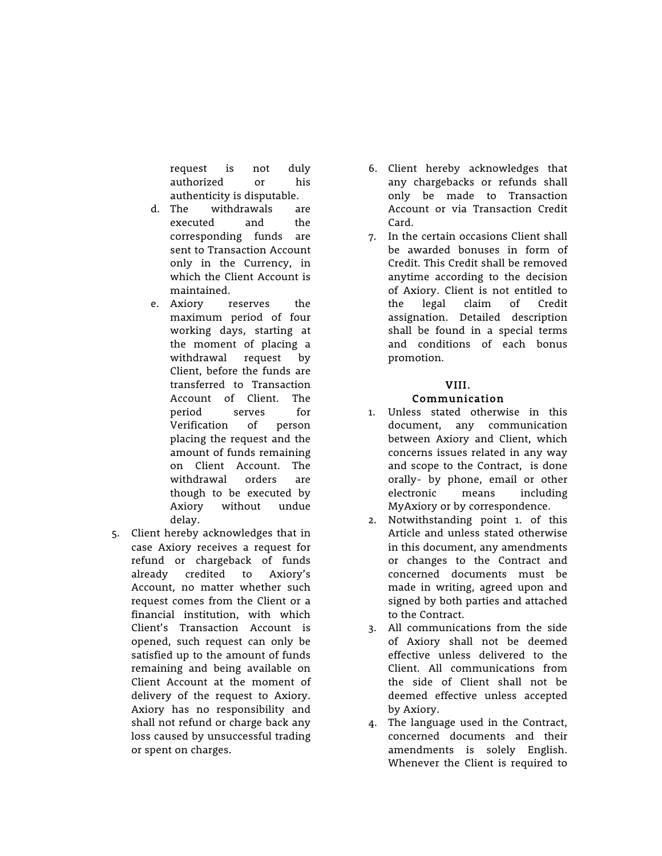request is not duly authorized or his authenticity is disputable.

- d. The withdrawals are executed and the corresponding funds are sent to Transaction Account only in the Currency, in which the Client Account is maintained.
- e. Axiory reserves the maximum period of four working days, starting at the moment of placing a withdrawal request by Client, before the funds are transferred to Transaction Account of Client. The period serves for Verification of person placing the request and the amount of funds remaining on Client Account. The withdrawal orders are though to be executed by Axiory without undue delay.
- 5. Client hereby acknowledges that in case Axiory receives a request for refund or chargeback of funds already credited to Axiory's Account, no matter whether such request comes from the Client or a financial institution, with which Client's Transaction Account is opened, such request can only be satisfied up to the amount of funds remaining and being available on Client Account at the moment of delivery of the request to Axiory. Axiory has no responsibility and shall not refund or charge back any loss caused by unsuccessful trading or spent on charges.
- 6. Client hereby acknowledges that any chargebacks or refunds shall only be made to Transaction Account or via Transaction Credit Card.
- 7. In the certain occasions Client shall be awarded bonuses in form of Credit. This Credit shall be removed anytime according to the decision of Axiory. Client is not entitled to the legal claim of Credit assignation. Detailed description shall be found in a special terms and conditions of each bonus promotion.

## VIII. Communication

- 1. Unless stated otherwise in this document, any communication between Axiory and Client, which concerns issues related in any way and scope to the Contract, is done orally- by phone, email or other electronic means including MyAxiory or by correspondence.
- 2. Notwithstanding point 1. of this Article and unless stated otherwise in this document, any amendments or changes to the Contract and concerned documents must be made in writing, agreed upon and signed by both parties and attached to the Contract.
- 3. All communications from the side of Axiory shall not be deemed effective unless delivered to the Client. All communications from the side of Client shall not be deemed effective unless accepted by Axiory.
- 4. The language used in the Contract, concerned documents and their amendments is solely English. Whenever the Client is required to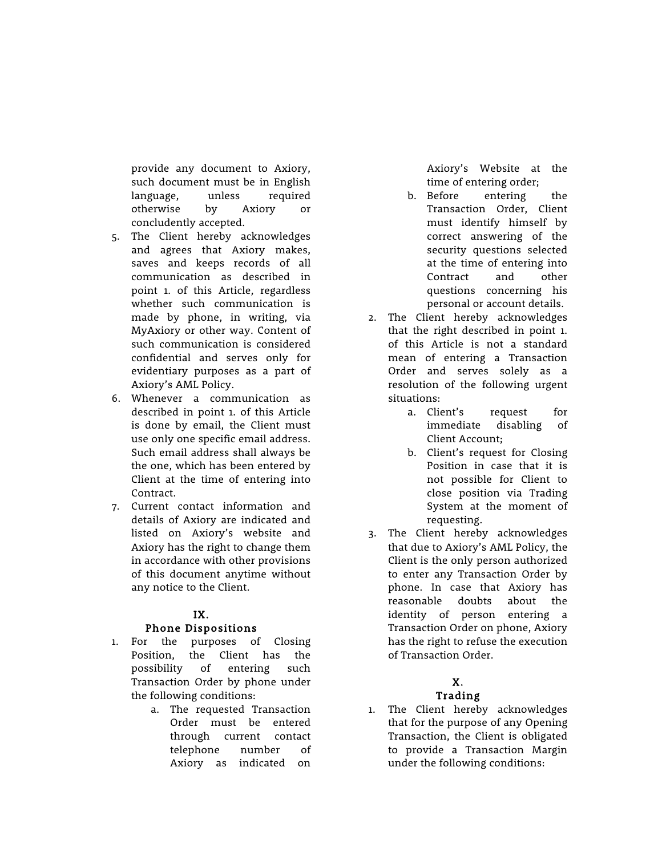provide any document to Axiory, such document must be in English language, unless required otherwise by Axiory or concludently accepted.

- 5. The Client hereby acknowledges and agrees that Axiory makes, saves and keeps records of all communication as described in point 1. of this Article, regardless whether such communication is made by phone, in writing, via MyAxiory or other way. Content of such communication is considered confidential and serves only for evidentiary purposes as a part of Axiory's AML Policy.
- 6. Whenever a communication as described in point 1. of this Article is done by email, the Client must use only one specific email address. Such email address shall always be the one, which has been entered by Client at the time of entering into Contract.
- 7. Current contact information and details of Axiory are indicated and listed on Axiory's website and Axiory has the right to change them in accordance with other provisions of this document anytime without any notice to the Client.

## IX.

## Phone Dispositions

- 1. For the purposes of Closing Position, the Client has the possibility of entering such Transaction Order by phone under the following conditions:
	- a. The requested Transaction Order must be entered through current contact telephone number of Axiory as indicated on

Axiory's Website at the time of entering order;

- b. Before entering the Transaction Order, Client must identify himself by correct answering of the security questions selected at the time of entering into Contract and other questions concerning his personal or account details.
- 2. The Client hereby acknowledges that the right described in point 1. of this Article is not a standard mean of entering a Transaction Order and serves solely as a resolution of the following urgent situations:
	- a. Client's request for immediate disabling of Client Account;
	- b. Client's request for Closing Position in case that it is not possible for Client to close position via Trading System at the moment of requesting.
- 3. The Client hereby acknowledges that due to Axiory's AML Policy, the Client is the only person authorized to enter any Transaction Order by phone. In case that Axiory has reasonable doubts about the identity of person entering a Transaction Order on phone, Axiory has the right to refuse the execution of Transaction Order.

## X.

## Trading

1. The Client hereby acknowledges that for the purpose of any Opening Transaction, the Client is obligated to provide a Transaction Margin under the following conditions: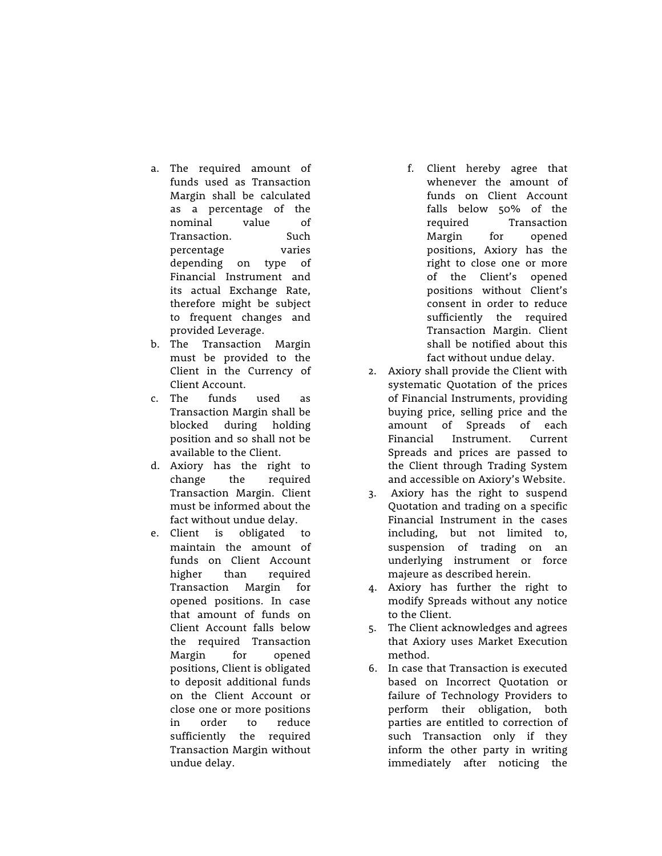- a. The required amount of funds used as Transaction Margin shall be calculated as a percentage of the nominal value of Transaction. Such percentage varies depending on type of Financial Instrument and its actual Exchange Rate, therefore might be subject to frequent changes and provided Leverage.
- b. The Transaction Margin must be provided to the Client in the Currency of Client Account.
- c. The funds used as Transaction Margin shall be blocked during holding position and so shall not be available to the Client.
- d. Axiory has the right to change the required Transaction Margin. Client must be informed about the fact without undue delay.
- e. Client is obligated to maintain the amount of funds on Client Account higher than required Transaction Margin for opened positions. In case that amount of funds on Client Account falls below the required Transaction Margin for opened positions, Client is obligated to deposit additional funds on the Client Account or close one or more positions in order to reduce sufficiently the required Transaction Margin without undue delay.
- f. Client hereby agree that whenever the amount of funds on Client Account falls below 50% of the required Transaction Margin for opened positions, Axiory has the right to close one or more of the Client's opened positions without Client's consent in order to reduce sufficiently the required Transaction Margin. Client shall be notified about this fact without undue delay.
- 2. Axiory shall provide the Client with systematic Quotation of the prices of Financial Instruments, providing buying price, selling price and the amount of Spreads of each Financial Instrument. Current Spreads and prices are passed to the Client through Trading System and accessible on Axiory's Website.
- 3. Axiory has the right to suspend Quotation and trading on a specific Financial Instrument in the cases including, but not limited to, suspension of trading on an underlying instrument or force majeure as described herein.
- 4. Axiory has further the right to modify Spreads without any notice to the Client.
- 5. The Client acknowledges and agrees that Axiory uses Market Execution method.
- 6. In case that Transaction is executed based on Incorrect Quotation or failure of Technology Providers to perform their obligation, both parties are entitled to correction of such Transaction only if they inform the other party in writing immediately after noticing the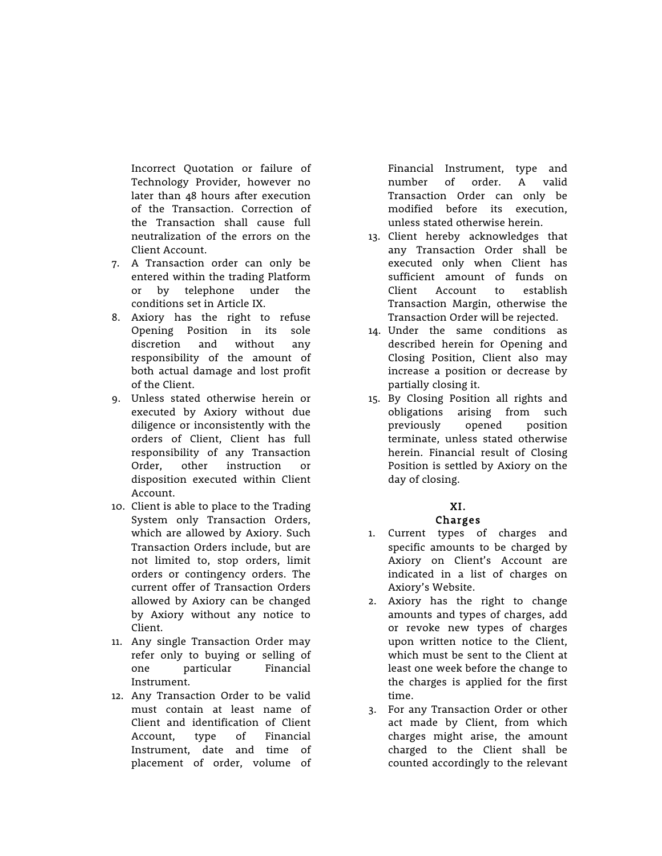Incorrect Quotation or failure of Technology Provider, however no later than 48 hours after execution of the Transaction. Correction of the Transaction shall cause full neutralization of the errors on the Client Account.

- 7. A Transaction order can only be entered within the trading Platform or by telephone under the conditions set in Article IX.
- 8. Axiory has the right to refuse Opening Position in its sole discretion and without any responsibility of the amount of both actual damage and lost profit of the Client.
- 9. Unless stated otherwise herein or executed by Axiory without due diligence or inconsistently with the orders of Client, Client has full responsibility of any Transaction Order, other instruction or disposition executed within Client Account.
- 10. Client is able to place to the Trading System only Transaction Orders, which are allowed by Axiory. Such Transaction Orders include, but are not limited to, stop orders, limit orders or contingency orders. The current offer of Transaction Orders allowed by Axiory can be changed by Axiory without any notice to Client.
- 11. Any single Transaction Order may refer only to buying or selling of one particular Financial Instrument.
- 12. Any Transaction Order to be valid must contain at least name of Client and identification of Client Account, type of Financial Instrument, date and time of placement of order, volume of

Financial Instrument, type and number of order. A valid Transaction Order can only be modified before its execution, unless stated otherwise herein.

- 13. Client hereby acknowledges that any Transaction Order shall be executed only when Client has sufficient amount of funds on Client Account to establish Transaction Margin, otherwise the Transaction Order will be rejected.
- 14. Under the same conditions as described herein for Opening and Closing Position, Client also may increase a position or decrease by partially closing it.
- 15. By Closing Position all rights and obligations arising from such previously opened position terminate, unless stated otherwise herein. Financial result of Closing Position is settled by Axiory on the day of closing.

## XI. Charges

- 1. Current types of charges and specific amounts to be charged by Axiory on Client's Account are indicated in a list of charges on Axiory's Website.
- 2. Axiory has the right to change amounts and types of charges, add or revoke new types of charges upon written notice to the Client, which must be sent to the Client at least one week before the change to the charges is applied for the first time.
- 3. For any Transaction Order or other act made by Client, from which charges might arise, the amount charged to the Client shall be counted accordingly to the relevant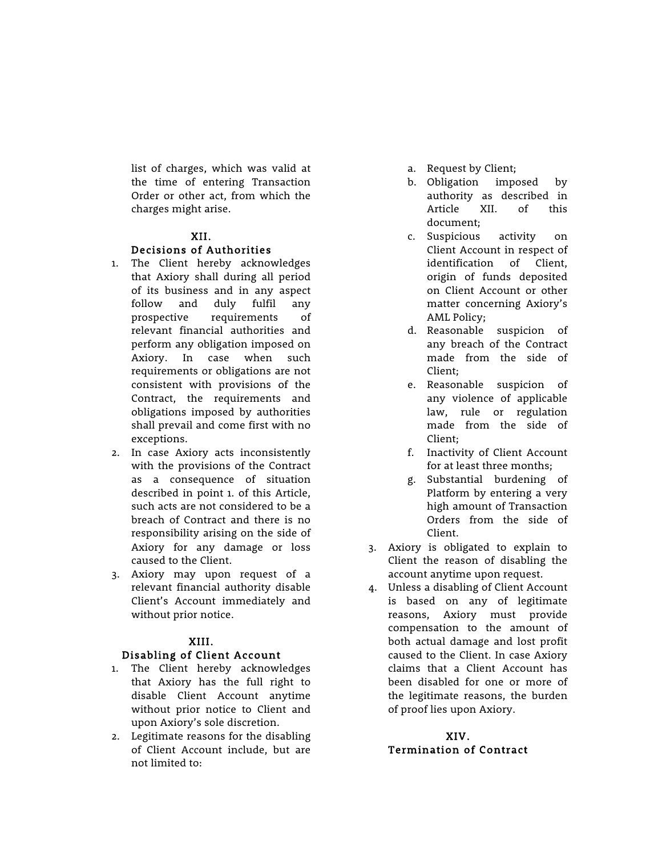list of charges, which was valid at the time of entering Transaction Order or other act, from which the charges might arise.

## XII.

#### Decisions of Authorities

- 1. The Client hereby acknowledges that Axiory shall during all period of its business and in any aspect follow and duly fulfil any prospective requirements of relevant financial authorities and perform any obligation imposed on Axiory. In case when such requirements or obligations are not consistent with provisions of the Contract, the requirements and obligations imposed by authorities shall prevail and come first with no exceptions.
- 2. In case Axiory acts inconsistently with the provisions of the Contract as a consequence of situation described in point 1. of this Article, such acts are not considered to be a breach of Contract and there is no responsibility arising on the side of Axiory for any damage or loss caused to the Client.
- 3. Axiory may upon request of a relevant financial authority disable Client's Account immediately and without prior notice.

#### XIII.

#### Disabling of Client Account

- 1. The Client hereby acknowledges that Axiory has the full right to disable Client Account anytime without prior notice to Client and upon Axiory's sole discretion.
- 2. Legitimate reasons for the disabling of Client Account include, but are not limited to:
- a. Request by Client;
- b. Obligation imposed by authority as described in Article XII. of this document;
- c. Suspicious activity on Client Account in respect of identification of Client, origin of funds deposited on Client Account or other matter concerning Axiory's AML Policy;
- d. Reasonable suspicion of any breach of the Contract made from the side of Client;
- e. Reasonable suspicion of any violence of applicable law, rule or regulation made from the side of Client;
- f. Inactivity of Client Account for at least three months;
- g. Substantial burdening of Platform by entering a very high amount of Transaction Orders from the side of Client.
- 3. Axiory is obligated to explain to Client the reason of disabling the account anytime upon request.
- 4. Unless a disabling of Client Account is based on any of legitimate reasons, Axiory must provide compensation to the amount of both actual damage and lost profit caused to the Client. In case Axiory claims that a Client Account has been disabled for one or more of the legitimate reasons, the burden of proof lies upon Axiory.

#### XIV. Termination of Contract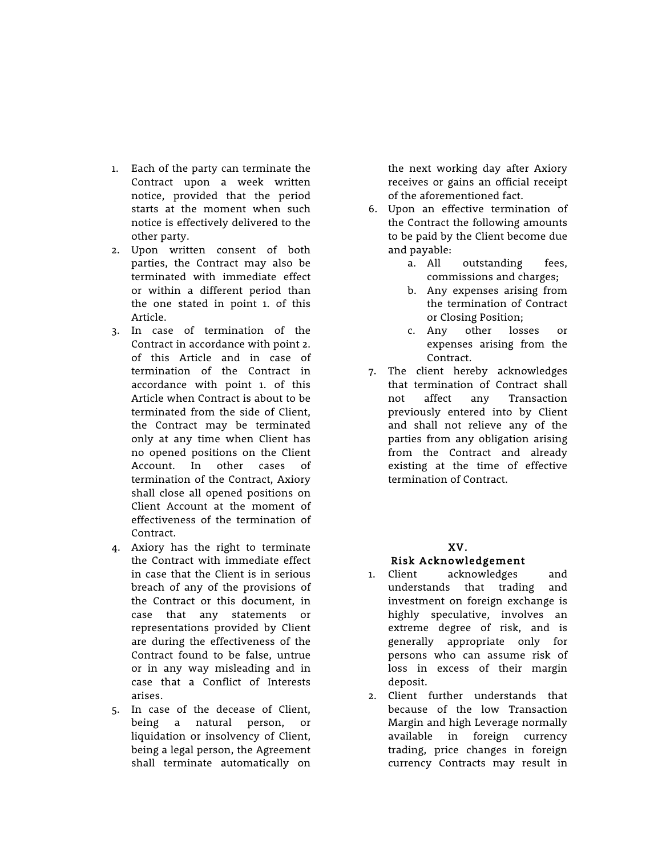- 1. Each of the party can terminate the Contract upon a week written notice, provided that the period starts at the moment when such notice is effectively delivered to the other party.
- 2. Upon written consent of both parties, the Contract may also be terminated with immediate effect or within a different period than the one stated in point 1. of this Article.
- 3. In case of termination of the Contract in accordance with point 2. of this Article and in case of termination of the Contract in accordance with point 1. of this Article when Contract is about to be terminated from the side of Client, the Contract may be terminated only at any time when Client has no opened positions on the Client Account. In other cases of termination of the Contract, Axiory shall close all opened positions on Client Account at the moment of effectiveness of the termination of Contract.
- 4. Axiory has the right to terminate the Contract with immediate effect in case that the Client is in serious breach of any of the provisions of the Contract or this document, in case that any statements or representations provided by Client are during the effectiveness of the Contract found to be false, untrue or in any way misleading and in case that a Conflict of Interests arises.
- 5. In case of the decease of Client, being a natural person, or liquidation or insolvency of Client, being a legal person, the Agreement shall terminate automatically on

the next working day after Axiory receives or gains an official receipt of the aforementioned fact.

- 6. Upon an effective termination of the Contract the following amounts to be paid by the Client become due and payable:
	- a. All outstanding fees, commissions and charges;
	- b. Any expenses arising from the termination of Contract or Closing Position;
	- c. Any other losses or expenses arising from the Contract.
- 7. The client hereby acknowledges that termination of Contract shall not affect any Transaction previously entered into by Client and shall not relieve any of the parties from any obligation arising from the Contract and already existing at the time of effective termination of Contract.

## XV.

## Risk Acknowledgement

- 1. Client acknowledges and understands that trading and investment on foreign exchange is highly speculative, involves an extreme degree of risk, and is generally appropriate only for persons who can assume risk of loss in excess of their margin deposit.
- 2. Client further understands that because of the low Transaction Margin and high Leverage normally available in foreign currency trading, price changes in foreign currency Contracts may result in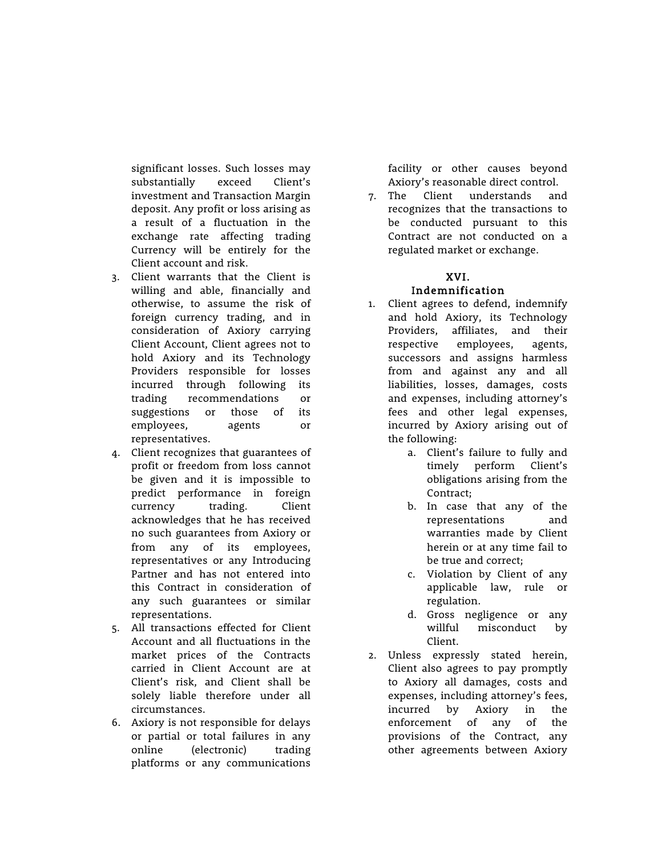significant losses. Such losses may substantially exceed Client's investment and Transaction Margin deposit. Any profit or loss arising as a result of a fluctuation in the exchange rate affecting trading Currency will be entirely for the Client account and risk.

- 3. Client warrants that the Client is willing and able, financially and otherwise, to assume the risk of foreign currency trading, and in consideration of Axiory carrying Client Account, Client agrees not to hold Axiory and its Technology Providers responsible for losses incurred through following its trading recommendations or suggestions or those of its employees, agents or representatives.
- 4. Client recognizes that guarantees of profit or freedom from loss cannot be given and it is impossible to predict performance in foreign currency trading. Client acknowledges that he has received no such guarantees from Axiory or from any of its employees, representatives or any Introducing Partner and has not entered into this Contract in consideration of any such guarantees or similar representations.
- 5. All transactions effected for Client Account and all fluctuations in the market prices of the Contracts carried in Client Account are at Client's risk, and Client shall be solely liable therefore under all circumstances.
- 6. Axiory is not responsible for delays or partial or total failures in any online (electronic) trading platforms or any communications

facility or other causes beyond Axiory's reasonable direct control.

7. The Client understands and recognizes that the transactions to be conducted pursuant to this Contract are not conducted on a regulated market or exchange.

## XVI.

## Indemnification

- 1. Client agrees to defend, indemnify and hold Axiory, its Technology Providers, affiliates, and their respective employees, agents, successors and assigns harmless from and against any and all liabilities, losses, damages, costs and expenses, including attorney's fees and other legal expenses, incurred by Axiory arising out of the following:
	- a. Client's failure to fully and timely perform Client's obligations arising from the Contract;
	- b. In case that any of the representations and warranties made by Client herein or at any time fail to be true and correct;
	- c. Violation by Client of any applicable law, rule or regulation.
	- d. Gross negligence or any willful misconduct by Client.
- 2. Unless expressly stated herein, Client also agrees to pay promptly to Axiory all damages, costs and expenses, including attorney's fees, incurred by Axiory in the enforcement of any of the provisions of the Contract, any other agreements between Axiory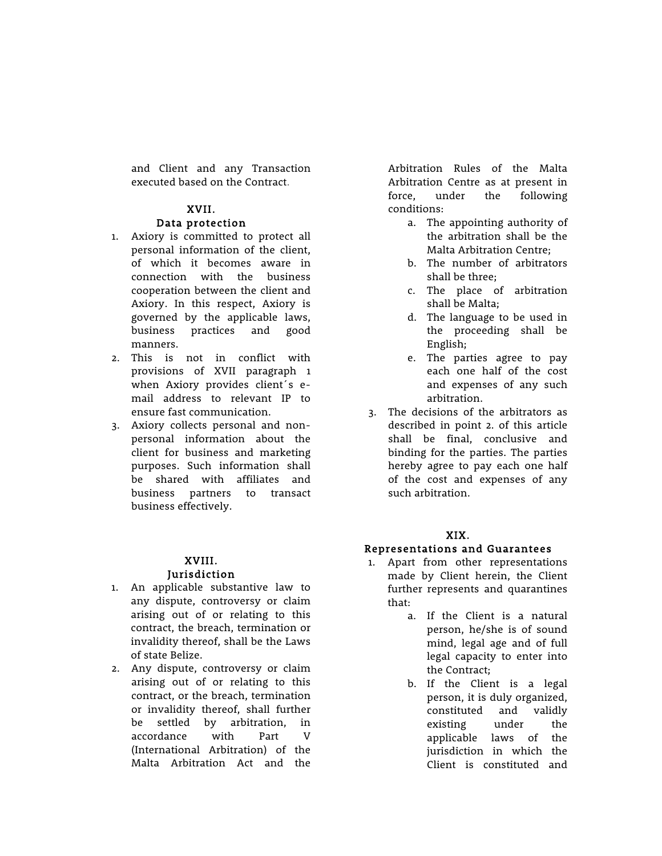and Client and any Transaction executed based on the Contract.

## XVII.

#### Data protection

- 1. Axiory is committed to protect all personal information of the client, of which it becomes aware in connection with the business cooperation between the client and Axiory. In this respect, Axiory is governed by the applicable laws, business practices and good manners.
- 2. This is not in conflict with provisions of XVII paragraph 1 when Axiory provides client´s email address to relevant IP to ensure fast communication.
- 3. Axiory collects personal and nonpersonal information about the client for business and marketing purposes. Such information shall be shared with affiliates and business partners to transact business effectively.

#### XVIII. Jurisdiction

- 1. An applicable substantive law to any dispute, controversy or claim arising out of or relating to this contract, the breach, termination or invalidity thereof, shall be the Laws of state Belize.
- 2. Any dispute, controversy or claim arising out of or relating to this contract, or the breach, termination or invalidity thereof, shall further be settled by arbitration, in accordance with Part V (International Arbitration) of the Malta Arbitration Act and the

Arbitration Rules of the Malta Arbitration Centre as at present in force, under the following conditions:

- a. The appointing authority of the arbitration shall be the Malta Arbitration Centre;
- b. The number of arbitrators shall be three;
- c. The place of arbitration shall be Malta;
- d. The language to be used in the proceeding shall be English;
- e. The parties agree to pay each one half of the cost and expenses of any such arbitration.
- 3. The decisions of the arbitrators as described in point 2. of this article shall be final, conclusive and binding for the parties. The parties hereby agree to pay each one half of the cost and expenses of any such arbitration.

## XIX.

## Representations and Guarantees

- 1. Apart from other representations made by Client herein, the Client further represents and quarantines that:
	- a. If the Client is a natural person, he/she is of sound mind, legal age and of full legal capacity to enter into the Contract;
	- b. If the Client is a legal person, it is duly organized, constituted and validly existing under the applicable laws of the jurisdiction in which the Client is constituted and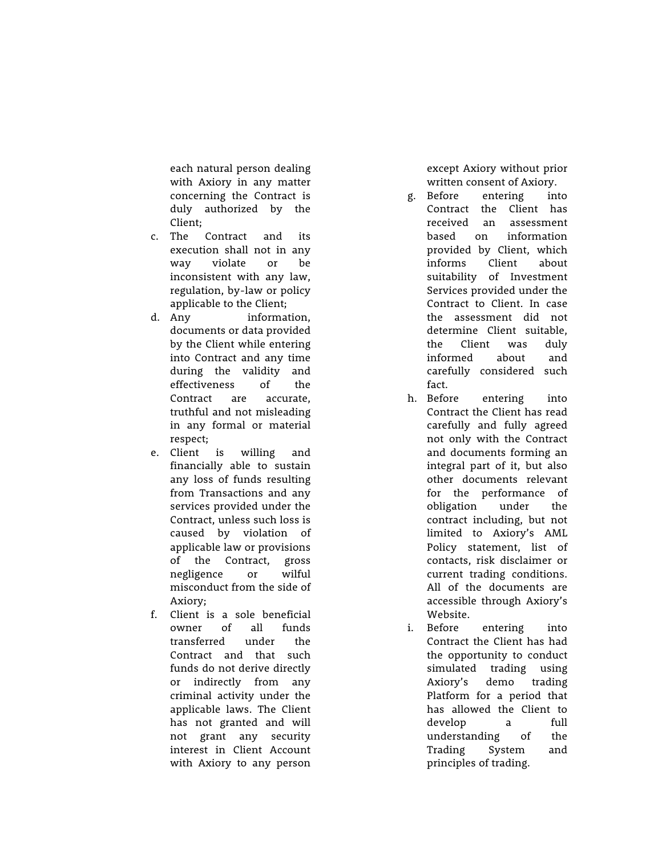each natural person dealing with Axiory in any matter concerning the Contract is duly authorized by the Client;

- c. The Contract and its execution shall not in any way violate or be inconsistent with any law, regulation, by -law or policy applicable to the Client;
- d. Any information, documents or data provided by the Client while entering into Contract and any time during the validity and effectiveness of the Contract are accurate, truthful and not misleading in any formal or material respect;
- e. Client is willing and financially able to sustain any loss of funds resulting from Transactions and any services provided under the Contract, unless such loss is caused by violation of applicable law or provisions of the Contract, gross negligence or wilful misconduct from the side of Axiory;
- f. Client is a sole beneficial owner of all funds transferred under the Contract and that such funds do not derive directly or indirectly from any criminal activity under the applicable laws. The Client has not granted and will not grant any security interest in Client Account with Axiory to any person

except Axiory without prior written consent of Axiory.

- g. Before entering into Contract the Client has received an assessment based on information provided by Client, which informs Client about suitability of Investment Services provided under the Contract to Client. In case the assessment did not determine Client suitable, the Client was duly informed about and carefully considered such fact.
- h. Before entering into Contract the Client has read carefully and fully agreed not only with the Contract and documents forming an integral part of it, but also other documents relevant for the performance of obligation under the contract including, but not limited to Axiory's AML Policy statement, list of contacts, risk disclaimer or current trading conditions. All of the documents are accessible through Axiory's Website.
- i. Before entering into Contract the Client has had the opportunity to conduct simulated trading using Axiory's demo trading Platform for a period that has allowed the Client to develop a full understanding of the Trading System and principles of trading.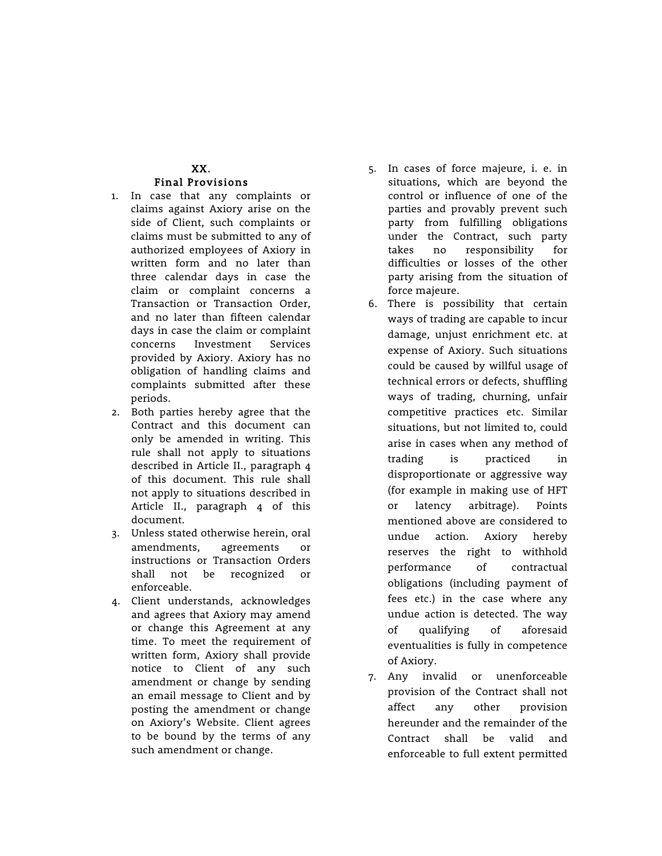## XX. Final Provisions

- 1. In case that any complaints or claims against Axiory arise on the side of Client, such complaints or claims must be submitted to any of authorized employees of Axiory in written form and no later than three calendar days in case the claim or complaint concerns a Transaction or Transaction Order, and no later than fifteen calendar days in case the claim or complaint concerns Investment Services provided by Axiory. Axiory has no obligation of handling claims and complaints submitted after these periods.
- 2. Both parties hereby agree that the Contract and this document can only be amended in writing. This rule shall not apply to situations described in Article II., paragraph 4 of this document. This rule shall not apply to situations described in Article II., paragraph 4 of this document.
- 3. Unless stated otherwise herein, oral amendments, agreements or instructions or Transaction Orders shall not be recognized or enforceable.
- 4. Client understands, acknowledges and agrees that Axiory may amend or change this Agreement at any time. To meet the requirement of written form, Axiory shall provide notice to Client of any such amendment or change by sending an email message to Client and by posting the amendment or change on Axiory's Website. Client agrees to be bound by the terms of any such amendment or change.
- 5. In cases of force majeure, i. e. in situations, which are beyond the control or influence of one of the parties and provably prevent such party from fulfilling obligations under the Contract, such party takes no responsibility for difficulties or losses of the other party arising from the situation of force majeure.
- 6. There is possibility that certain ways of trading are capable to incur damage, unjust enrichment etc. at expense of Axiory. Such situations could be caused by willful usage of technical errors or defects, shuffling ways of trading, churning, unfair competitive practices etc. Similar situations, but not limited to, could arise in cases when any method of trading is practiced in disproportionate or aggressive way (for example in making use of HFT or latency arbitrage). Points mentioned above are considered to undue action. Axiory hereby reserves the right to withhold performance of contractual obligations (including payment of fees etc.) in the case where any undue action is detected. The way of qualifying of aforesaid eventualities is fully in competence of Axiory.
- 7. Any invalid or unenforceable provision of the Contract shall not affect any other provision hereunder and the remainder of the Contract shall be valid and enforceable to full extent permitted